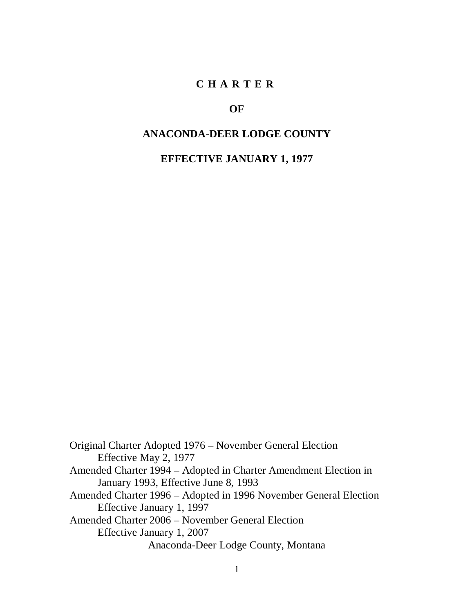#### **CHARTER**

#### **OF**

#### **ANACONDA-DEER LODGE COUNTY**

**EFFECTIVE JANUARY 1, 1977**

Original Charter Adopted 1976 – November General Election Effective May 2, 1977 Amended Charter 1994 – Adopted in Charter Amendment Election in January 1993, Effective June 8, 1993 Amended Charter 1996 – Adopted in 1996 November General Election Effective January 1, 1997 Amended Charter 2006 – November General Election Effective January 1, 2007 Anaconda-Deer Lodge County, Montana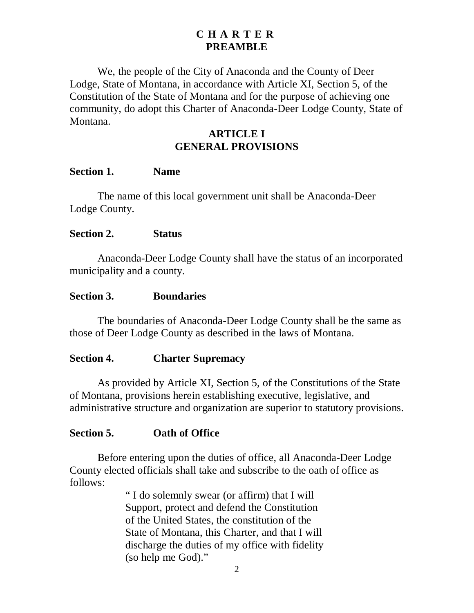#### **CHARTER PREAMBLE**

We, the people of the City of Anaconda and the County of Deer Lodge, State of Montana, in accordance with Article XI, Section 5, of the Constitution of the State of Montana and for the purpose of achieving one community, do adopt this Charter of Anaconda-Deer Lodge County, State of Montana.

# **ARTICLE I GENERAL PROVISIONS**

#### **Section 1. Name**

The name of this local government unit shall be Anaconda-Deer Lodge County.

#### **Section 2. Status**

Anaconda-Deer Lodge County shall have the status of an incorporated municipality and a county.

#### **Section 3. Boundaries**

The boundaries of Anaconda-Deer Lodge County shall be the same as those of Deer Lodge County as described in the laws of Montana.

#### **Section 4. Charter Supremacy**

As provided by Article XI, Section 5, of the Constitutions of the State of Montana, provisions herein establishing executive, legislative, and administrative structure and organization are superior to statutory provisions.

#### **Section 5. Oath of Office**

Before entering upon the duties of office, all Anaconda-Deer Lodge County elected officials shall take and subscribe to the oath of office as follows:

> " I do solemnly swear (or affirm) that I will Support, protect and defend the Constitution of the United States, the constitution of the State of Montana, this Charter, and that I will discharge the duties of my office with fidelity (so help me God)."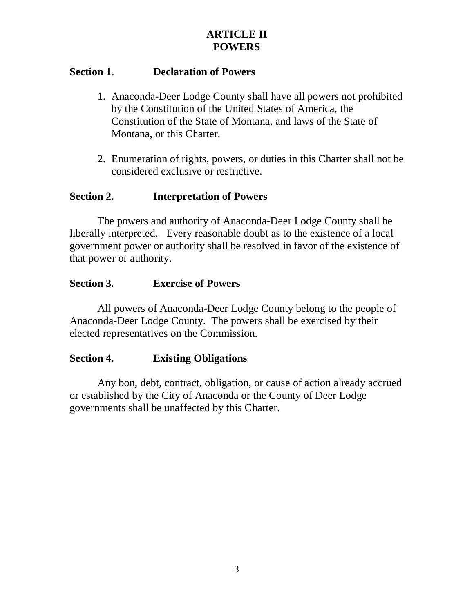# **ARTICLE II POWERS**

## **Section 1. Declaration of Powers**

- 1. Anaconda-Deer Lodge County shall have all powers not prohibited by the Constitution of the United States of America, the Constitution of the State of Montana, and laws of the State of Montana, or this Charter.
- 2. Enumeration of rights, powers, or duties in this Charter shall not be considered exclusive or restrictive.

## **Section 2. Interpretation of Powers**

The powers and authority of Anaconda-Deer Lodge County shall be liberally interpreted. Every reasonable doubt as to the existence of a local government power or authority shall be resolved in favor of the existence of that power or authority.

### **Section 3. Exercise of Powers**

All powers of Anaconda-Deer Lodge County belong to the people of Anaconda-Deer Lodge County. The powers shall be exercised by their elected representatives on the Commission.

### **Section 4. Existing Obligations**

Any bon, debt, contract, obligation, or cause of action already accrued or established by the City of Anaconda or the County of Deer Lodge governments shall be unaffected by this Charter.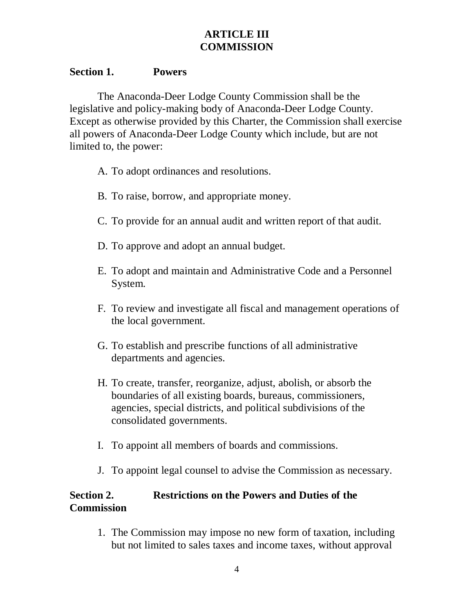# **ARTICLE III COMMISSION**

### **Section 1. Powers**

The Anaconda-Deer Lodge County Commission shall be the legislative and policy-making body of Anaconda-Deer Lodge County. Except as otherwise provided by this Charter, the Commission shall exercise all powers of Anaconda-Deer Lodge County which include, but are not limited to, the power:

- A. To adopt ordinances and resolutions.
- B. To raise, borrow, and appropriate money.
- C. To provide for an annual audit and written report of that audit.
- D. To approve and adopt an annual budget.
- E. To adopt and maintain and Administrative Code and a Personnel System.
- F. To review and investigate all fiscal and management operations of the local government.
- G. To establish and prescribe functions of all administrative departments and agencies.
- H. To create, transfer, reorganize, adjust, abolish, or absorb the boundaries of all existing boards, bureaus, commissioners, agencies, special districts, and political subdivisions of the consolidated governments.
- I. To appoint all members of boards and commissions.
- J. To appoint legal counsel to advise the Commission as necessary.

# **Section 2. Restrictions on the Powers and Duties of the Commission**

1. The Commission may impose no new form of taxation, including but not limited to sales taxes and income taxes, without approval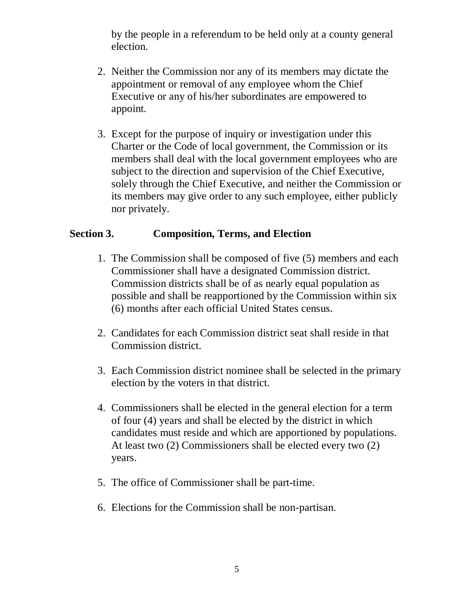by the people in a referendum to be held only at a county general election.

- 2. Neither the Commission nor any of its members may dictate the appointment or removal of any employee whom the Chief Executive or any of his/her subordinates are empowered to appoint.
- 3. Except for the purpose of inquiry or investigation under this Charter or the Code of local government, the Commission or its members shall deal with the local government employees who are subject to the direction and supervision of the Chief Executive, solely through the Chief Executive, and neither the Commission or its members may give order to any such employee, either publicly nor privately.

#### **Section 3. Composition, Terms, and Election**

- 1. The Commission shall be composed of five (5) members and each Commissioner shall have a designated Commission district. Commission districts shall be of as nearly equal population as possible and shall be reapportioned by the Commission within six (6) months after each official United States census.
- 2. Candidates for each Commission district seat shall reside in that Commission district.
- 3. Each Commission district nominee shall be selected in the primary election by the voters in that district.
- 4. Commissioners shall be elected in the general election for a term of four (4) years and shall be elected by the district in which candidates must reside and which are apportioned by populations. At least two (2) Commissioners shall be elected every two (2) years.
- 5. The office of Commissioner shall be part-time.
- 6. Elections for the Commission shall be non-partisan.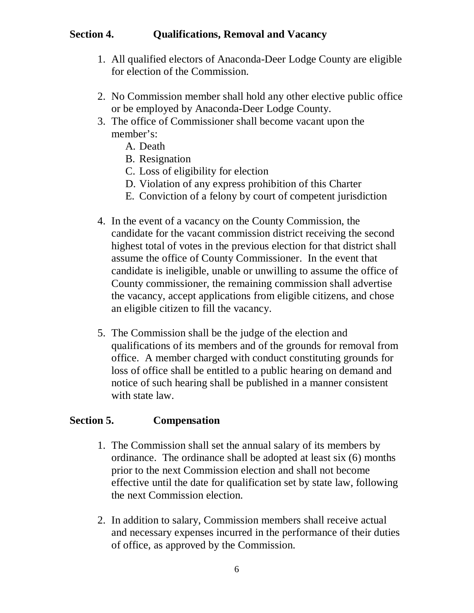## **Section 4. Qualifications, Removal and Vacancy**

- 1. All qualified electors of Anaconda-Deer Lodge County are eligible for election of the Commission.
- 2. No Commission member shall hold any other elective public office or be employed by Anaconda-Deer Lodge County.
- 3. The office of Commissioner shall become vacant upon the member's:
	- A. Death
	- B. Resignation
	- C. Loss of eligibility for election
	- D. Violation of any express prohibition of this Charter
	- E. Conviction of a felony by court of competent jurisdiction
- 4. In the event of a vacancy on the County Commission, the candidate for the vacant commission district receiving the second highest total of votes in the previous election for that district shall assume the office of County Commissioner. In the event that candidate is ineligible, unable or unwilling to assume the office of County commissioner, the remaining commission shall advertise the vacancy, accept applications from eligible citizens, and chose an eligible citizen to fill the vacancy.
- 5. The Commission shall be the judge of the election and qualifications of its members and of the grounds for removal from office. A member charged with conduct constituting grounds for loss of office shall be entitled to a public hearing on demand and notice of such hearing shall be published in a manner consistent with state law.

# **Section 5. Compensation**

- 1. The Commission shall set the annual salary of its members by ordinance. The ordinance shall be adopted at least six (6) months prior to the next Commission election and shall not become effective until the date for qualification set by state law, following the next Commission election.
- 2. In addition to salary, Commission members shall receive actual and necessary expenses incurred in the performance of their duties of office, as approved by the Commission.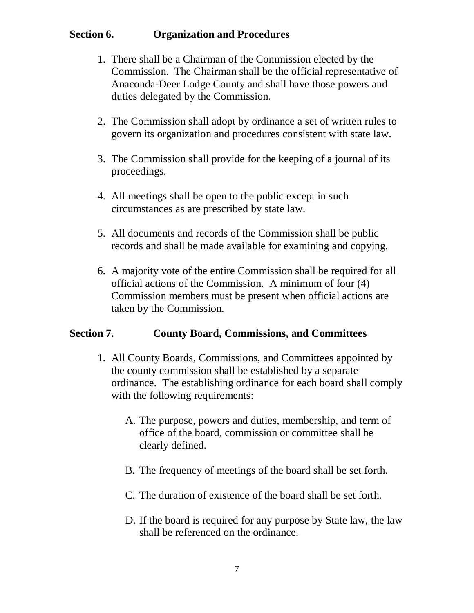## **Section 6. Organization and Procedures**

- 1. There shall be a Chairman of the Commission elected by the Commission. The Chairman shall be the official representative of Anaconda-Deer Lodge County and shall have those powers and duties delegated by the Commission.
- 2. The Commission shall adopt by ordinance a set of written rules to govern its organization and procedures consistent with state law.
- 3. The Commission shall provide for the keeping of a journal of its proceedings.
- 4. All meetings shall be open to the public except in such circumstances as are prescribed by state law.
- 5. All documents and records of the Commission shall be public records and shall be made available for examining and copying.
- 6. A majority vote of the entire Commission shall be required for all official actions of the Commission. A minimum of four (4) Commission members must be present when official actions are taken by the Commission.

# **Section 7. County Board, Commissions, and Committees**

- 1. All County Boards, Commissions, and Committees appointed by the county commission shall be established by a separate ordinance. The establishing ordinance for each board shall comply with the following requirements:
	- A. The purpose, powers and duties, membership, and term of office of the board, commission or committee shall be clearly defined.
	- B. The frequency of meetings of the board shall be set forth.
	- C. The duration of existence of the board shall be set forth.
	- D. If the board is required for any purpose by State law, the law shall be referenced on the ordinance.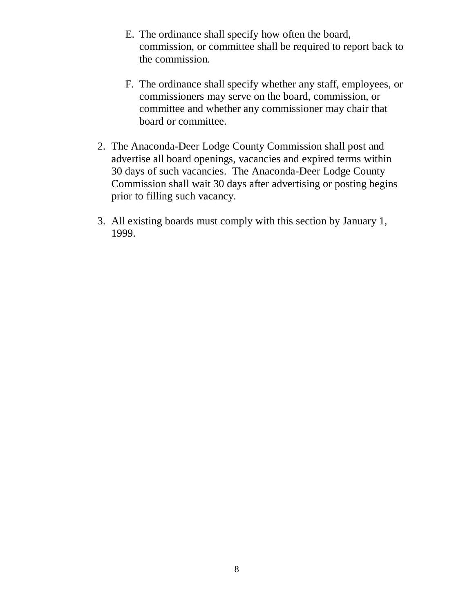- E. The ordinance shall specify how often the board, commission, or committee shall be required to report back to the commission.
- F. The ordinance shall specify whether any staff, employees, or commissioners may serve on the board, commission, or committee and whether any commissioner may chair that board or committee.
- 2. The Anaconda-Deer Lodge County Commission shall post and advertise all board openings, vacancies and expired terms within 30 days of such vacancies. The Anaconda-Deer Lodge County Commission shall wait 30 days after advertising or posting begins prior to filling such vacancy.
- 3. All existing boards must comply with this section by January 1, 1999.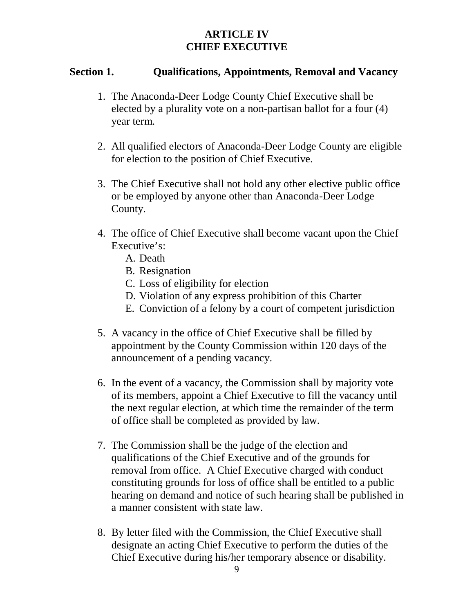# **ARTICLE IV CHIEF EXECUTIVE**

### **Section 1. Qualifications, Appointments, Removal and Vacancy**

- 1. The Anaconda-Deer Lodge County Chief Executive shall be elected by a plurality vote on a non-partisan ballot for a four (4) year term.
- 2. All qualified electors of Anaconda-Deer Lodge County are eligible for election to the position of Chief Executive.
- 3. The Chief Executive shall not hold any other elective public office or be employed by anyone other than Anaconda-Deer Lodge County.
- 4. The office of Chief Executive shall become vacant upon the Chief Executive's:
	- A. Death
	- B. Resignation
	- C. Loss of eligibility for election
	- D. Violation of any express prohibition of this Charter
	- E. Conviction of a felony by a court of competent jurisdiction
- 5. A vacancy in the office of Chief Executive shall be filled by appointment by the County Commission within 120 days of the announcement of a pending vacancy.
- 6. In the event of a vacancy, the Commission shall by majority vote of its members, appoint a Chief Executive to fill the vacancy until the next regular election, at which time the remainder of the term of office shall be completed as provided by law.
- 7. The Commission shall be the judge of the election and qualifications of the Chief Executive and of the grounds for removal from office. A Chief Executive charged with conduct constituting grounds for loss of office shall be entitled to a public hearing on demand and notice of such hearing shall be published in a manner consistent with state law.
- 8. By letter filed with the Commission, the Chief Executive shall designate an acting Chief Executive to perform the duties of the Chief Executive during his/her temporary absence or disability.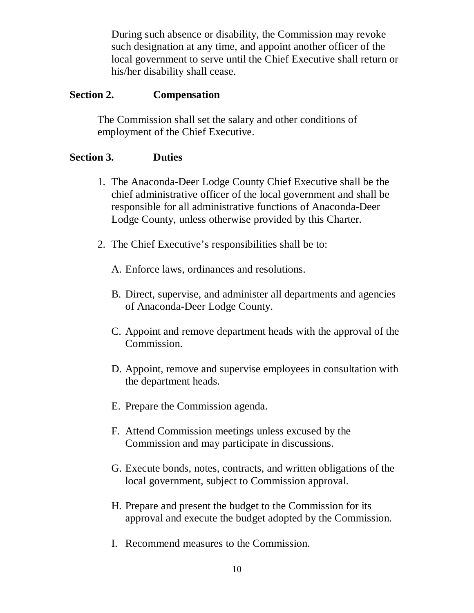During such absence or disability, the Commission may revoke such designation at any time, and appoint another officer of the local government to serve until the Chief Executive shall return or his/her disability shall cease.

# **Section 2. Compensation**

The Commission shall set the salary and other conditions of employment of the Chief Executive.

# **Section 3. Duties**

- 1. The Anaconda-Deer Lodge County Chief Executive shall be the chief administrative officer of the local government and shall be responsible for all administrative functions of Anaconda-Deer Lodge County, unless otherwise provided by this Charter.
- 2. The Chief Executive's responsibilities shall be to:
	- A. Enforce laws, ordinances and resolutions.
	- B. Direct, supervise, and administer all departments and agencies of Anaconda-Deer Lodge County.
	- C. Appoint and remove department heads with the approval of the Commission.
	- D. Appoint, remove and supervise employees in consultation with the department heads.
	- E. Prepare the Commission agenda.
	- F. Attend Commission meetings unless excused by the Commission and may participate in discussions.
	- G. Execute bonds, notes, contracts, and written obligations of the local government, subject to Commission approval.
	- H. Prepare and present the budget to the Commission for its approval and execute the budget adopted by the Commission.
	- I. Recommend measures to the Commission.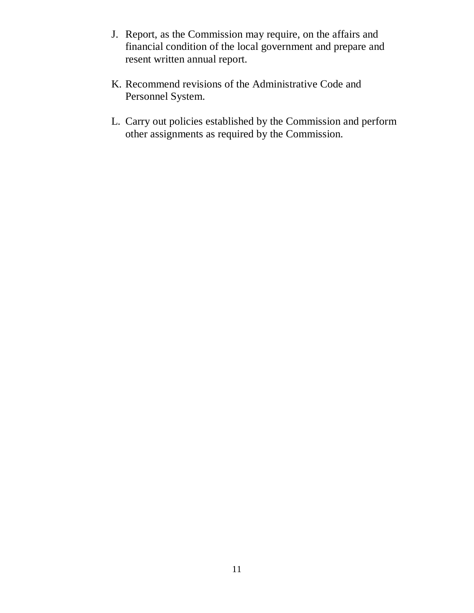- J. Report, as the Commission may require, on the affairs and financial condition of the local government and prepare and resent written annual report.
- K. Recommend revisions of the Administrative Code and Personnel System.
- L. Carry out policies established by the Commission and perform other assignments as required by the Commission.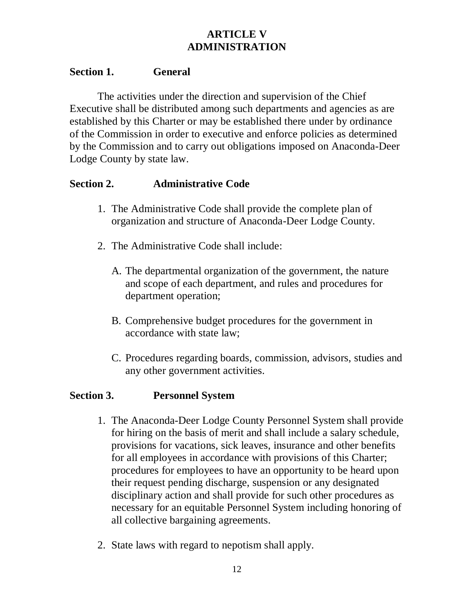# **ARTICLE V ADMINISTRATION**

#### **Section 1. General**

The activities under the direction and supervision of the Chief Executive shall be distributed among such departments and agencies as are established by this Charter or may be established there under by ordinance of the Commission in order to executive and enforce policies as determined by the Commission and to carry out obligations imposed on Anaconda-Deer Lodge County by state law.

## **Section 2. Administrative Code**

- 1. The Administrative Code shall provide the complete plan of organization and structure of Anaconda-Deer Lodge County.
- 2. The Administrative Code shall include:
	- A. The departmental organization of the government, the nature and scope of each department, and rules and procedures for department operation;
	- B. Comprehensive budget procedures for the government in accordance with state law;
	- C. Procedures regarding boards, commission, advisors, studies and any other government activities.

### **Section 3. Personnel System**

- 1. The Anaconda-Deer Lodge County Personnel System shall provide for hiring on the basis of merit and shall include a salary schedule, provisions for vacations, sick leaves, insurance and other benefits for all employees in accordance with provisions of this Charter; procedures for employees to have an opportunity to be heard upon their request pending discharge, suspension or any designated disciplinary action and shall provide for such other procedures as necessary for an equitable Personnel System including honoring of all collective bargaining agreements.
- 2. State laws with regard to nepotism shall apply.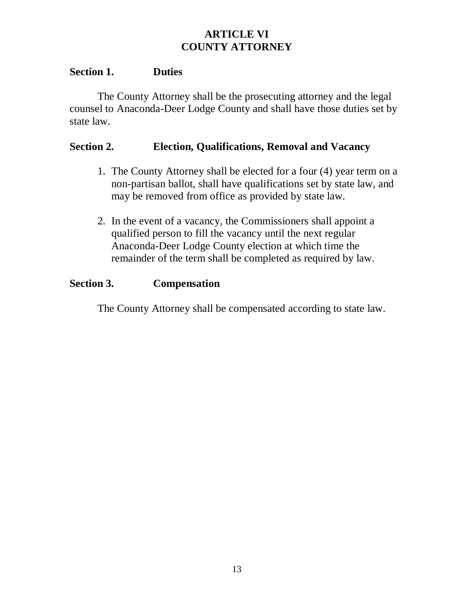# **ARTICLE VI COUNTY ATTORNEY**

#### **Section 1. Duties**

The County Attorney shall be the prosecuting attorney and the legal counsel to Anaconda-Deer Lodge County and shall have those duties set by state law.

#### **Section 2. Election, Qualifications, Removal and Vacancy**

- 1. The County Attorney shall be elected for a four (4) year term on a non-partisan ballot, shall have qualifications set by state law, and may be removed from office as provided by state law.
- 2. In the event of a vacancy, the Commissioners shall appoint a qualified person to fill the vacancy until the next regular Anaconda-Deer Lodge County election at which time the remainder of the term shall be completed as required by law.

#### **Section 3. Compensation**

The County Attorney shall be compensated according to state law.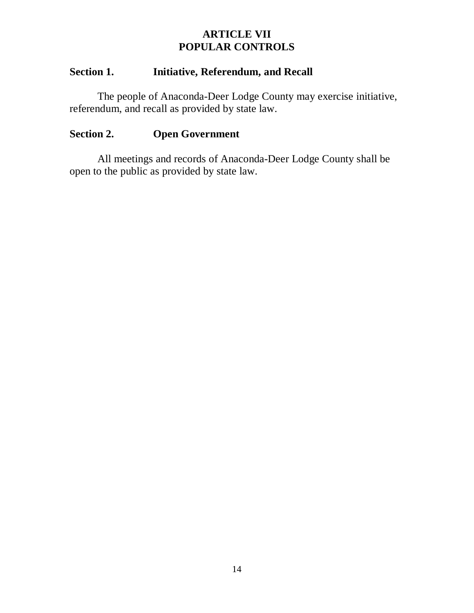# **ARTICLE VII POPULAR CONTROLS**

## **Section 1. Initiative, Referendum, and Recall**

The people of Anaconda-Deer Lodge County may exercise initiative, referendum, and recall as provided by state law.

### **Section 2. Open Government**

All meetings and records of Anaconda-Deer Lodge County shall be open to the public as provided by state law.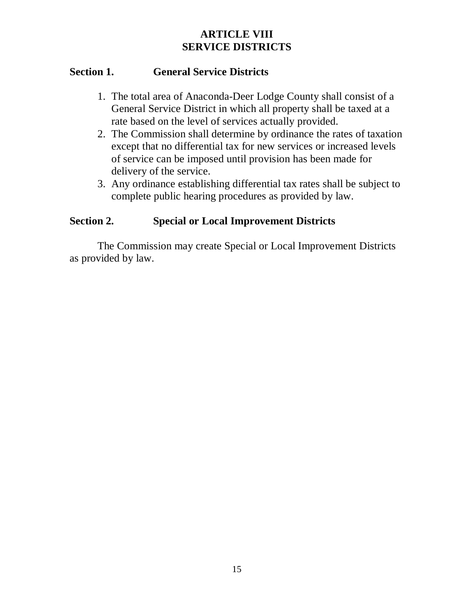# **ARTICLE VIII SERVICE DISTRICTS**

# **Section 1. General Service Districts**

- 1. The total area of Anaconda-Deer Lodge County shall consist of a General Service District in which all property shall be taxed at a rate based on the level of services actually provided.
- 2. The Commission shall determine by ordinance the rates of taxation except that no differential tax for new services or increased levels of service can be imposed until provision has been made for delivery of the service.
- 3. Any ordinance establishing differential tax rates shall be subject to complete public hearing procedures as provided by law.

# **Section 2. Special or Local Improvement Districts**

The Commission may create Special or Local Improvement Districts as provided by law.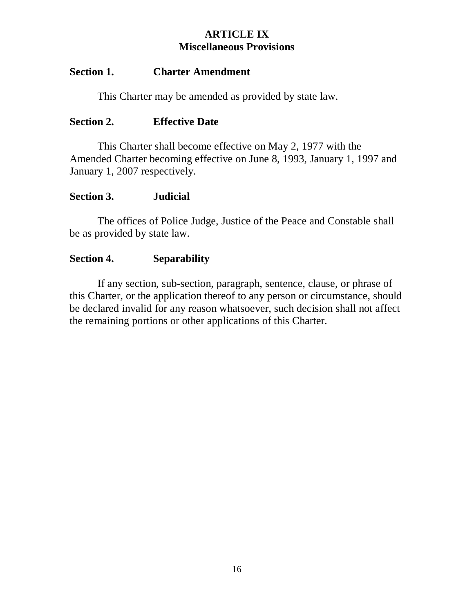# **ARTICLE IX Miscellaneous Provisions**

#### **Section 1. Charter Amendment**

This Charter may be amended as provided by state law.

#### **Section 2. Effective Date**

This Charter shall become effective on May 2, 1977 with the Amended Charter becoming effective on June 8, 1993, January 1, 1997 and January 1, 2007 respectively.

#### **Section 3. Judicial**

The offices of Police Judge, Justice of the Peace and Constable shall be as provided by state law.

### **Section 4. Separability**

If any section, sub-section, paragraph, sentence, clause, or phrase of this Charter, or the application thereof to any person or circumstance, should be declared invalid for any reason whatsoever, such decision shall not affect the remaining portions or other applications of this Charter.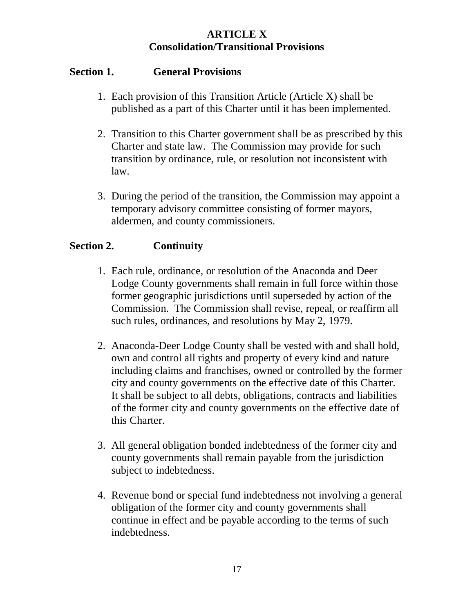# **ARTICLE X Consolidation/Transitional Provisions**

# **Section 1. General Provisions**

- 1. Each provision of this Transition Article (Article X) shall be published as a part of this Charter until it has been implemented.
- 2. Transition to this Charter government shall be as prescribed by this Charter and state law. The Commission may provide for such transition by ordinance, rule, or resolution not inconsistent with law.
- 3. During the period of the transition, the Commission may appoint a temporary advisory committee consisting of former mayors, aldermen, and county commissioners.

# **Section 2. Continuity**

- 1. Each rule, ordinance, or resolution of the Anaconda and Deer Lodge County governments shall remain in full force within those former geographic jurisdictions until superseded by action of the Commission. The Commission shall revise, repeal, or reaffirm all such rules, ordinances, and resolutions by May 2, 1979.
- 2. Anaconda-Deer Lodge County shall be vested with and shall hold, own and control all rights and property of every kind and nature including claims and franchises, owned or controlled by the former city and county governments on the effective date of this Charter. It shall be subject to all debts, obligations, contracts and liabilities of the former city and county governments on the effective date of this Charter.
- 3. All general obligation bonded indebtedness of the former city and county governments shall remain payable from the jurisdiction subject to indebtedness.
- 4. Revenue bond or special fund indebtedness not involving a general obligation of the former city and county governments shall continue in effect and be payable according to the terms of such indebtedness.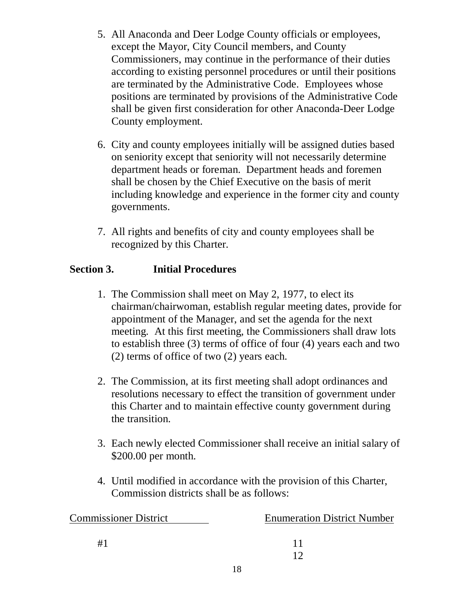- 5. All Anaconda and Deer Lodge County officials or employees, except the Mayor, City Council members, and County Commissioners, may continue in the performance of their duties according to existing personnel procedures or until their positions are terminated by the Administrative Code. Employees whose positions are terminated by provisions of the Administrative Code shall be given first consideration for other Anaconda-Deer Lodge County employment.
- 6. City and county employees initially will be assigned duties based on seniority except that seniority will not necessarily determine department heads or foreman. Department heads and foremen shall be chosen by the Chief Executive on the basis of merit including knowledge and experience in the former city and county governments.
- 7. All rights and benefits of city and county employees shall be recognized by this Charter.

# **Section 3. Initial Procedures**

- 1. The Commission shall meet on May 2, 1977, to elect its chairman/chairwoman, establish regular meeting dates, provide for appointment of the Manager, and set the agenda for the next meeting. At this first meeting, the Commissioners shall draw lots to establish three (3) terms of office of four (4) years each and two (2) terms of office of two (2) years each.
- 2. The Commission, at its first meeting shall adopt ordinances and resolutions necessary to effect the transition of government under this Charter and to maintain effective county government during the transition.
- 3. Each newly elected Commissioner shall receive an initial salary of \$200.00 per month.
- 4. Until modified in accordance with the provision of this Charter, Commission districts shall be as follows:

| <b>Commissioner District</b> | <b>Enumeration District Number</b> |
|------------------------------|------------------------------------|
| #1                           |                                    |
|                              |                                    |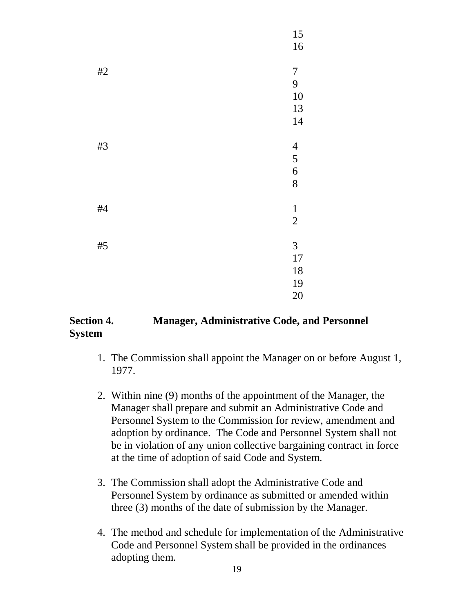

### **Section 4. Manager, Administrative Code, and Personnel System**

- 1. The Commission shall appoint the Manager on or before August 1, 1977.
- 2. Within nine (9) months of the appointment of the Manager, the Manager shall prepare and submit an Administrative Code and Personnel System to the Commission for review, amendment and adoption by ordinance. The Code and Personnel System shall not be in violation of any union collective bargaining contract in force at the time of adoption of said Code and System.
- 3. The Commission shall adopt the Administrative Code and Personnel System by ordinance as submitted or amended within three (3) months of the date of submission by the Manager.
- 4. The method and schedule for implementation of the Administrative Code and Personnel System shall be provided in the ordinances adopting them.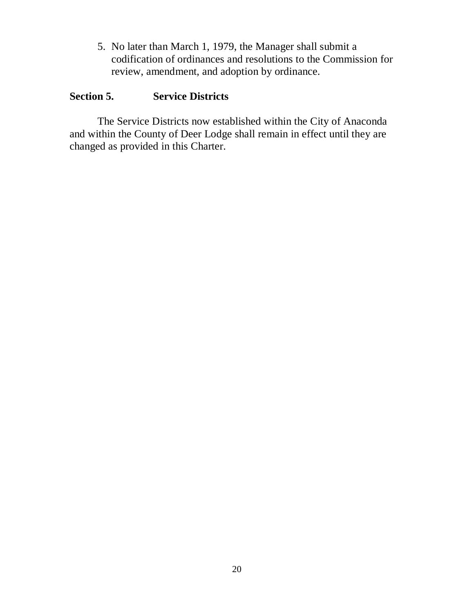5. No later than March 1, 1979, the Manager shall submit a codification of ordinances and resolutions to the Commission for review, amendment, and adoption by ordinance.

# **Section 5. Service Districts**

The Service Districts now established within the City of Anaconda and within the County of Deer Lodge shall remain in effect until they are changed as provided in this Charter.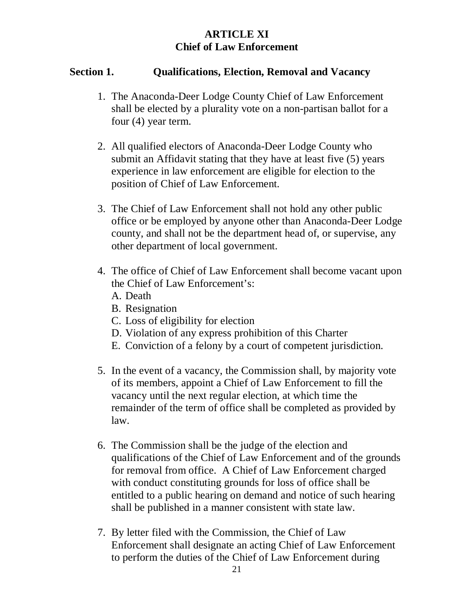# **ARTICLE XI Chief of Law Enforcement**

### **Section 1. Qualifications, Election, Removal and Vacancy**

- 1. The Anaconda-Deer Lodge County Chief of Law Enforcement shall be elected by a plurality vote on a non-partisan ballot for a four (4) year term.
- 2. All qualified electors of Anaconda-Deer Lodge County who submit an Affidavit stating that they have at least five (5) years experience in law enforcement are eligible for election to the position of Chief of Law Enforcement.
- 3. The Chief of Law Enforcement shall not hold any other public office or be employed by anyone other than Anaconda-Deer Lodge county, and shall not be the department head of, or supervise, any other department of local government.
- 4. The office of Chief of Law Enforcement shall become vacant upon the Chief of Law Enforcement's:
	- A. Death
	- B. Resignation
	- C. Loss of eligibility for election
	- D. Violation of any express prohibition of this Charter
	- E. Conviction of a felony by a court of competent jurisdiction.
- 5. In the event of a vacancy, the Commission shall, by majority vote of its members, appoint a Chief of Law Enforcement to fill the vacancy until the next regular election, at which time the remainder of the term of office shall be completed as provided by law.
- 6. The Commission shall be the judge of the election and qualifications of the Chief of Law Enforcement and of the grounds for removal from office. A Chief of Law Enforcement charged with conduct constituting grounds for loss of office shall be entitled to a public hearing on demand and notice of such hearing shall be published in a manner consistent with state law.
- 7. By letter filed with the Commission, the Chief of Law Enforcement shall designate an acting Chief of Law Enforcement to perform the duties of the Chief of Law Enforcement during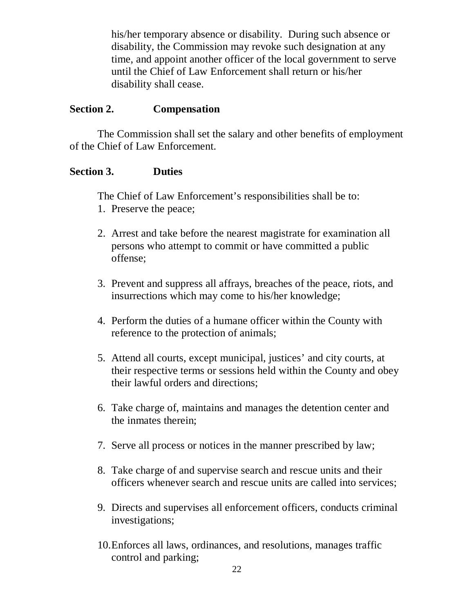his/her temporary absence or disability. During such absence or disability, the Commission may revoke such designation at any time, and appoint another officer of the local government to serve until the Chief of Law Enforcement shall return or his/her disability shall cease.

### **Section 2. Compensation**

The Commission shall set the salary and other benefits of employment of the Chief of Law Enforcement.

#### **Section 3. Duties**

The Chief of Law Enforcement's responsibilities shall be to:

- 1. Preserve the peace;
- 2. Arrest and take before the nearest magistrate for examination all persons who attempt to commit or have committed a public offense;
- 3. Prevent and suppress all affrays, breaches of the peace, riots, and insurrections which may come to his/her knowledge;
- 4. Perform the duties of a humane officer within the County with reference to the protection of animals;
- 5. Attend all courts, except municipal, justices' and city courts, at their respective terms or sessions held within the County and obey their lawful orders and directions;
- 6. Take charge of, maintains and manages the detention center and the inmates therein;
- 7. Serve all process or notices in the manner prescribed by law;
- 8. Take charge of and supervise search and rescue units and their officers whenever search and rescue units are called into services;
- 9. Directs and supervises all enforcement officers, conducts criminal investigations;
- 10.Enforces all laws, ordinances, and resolutions, manages traffic control and parking;